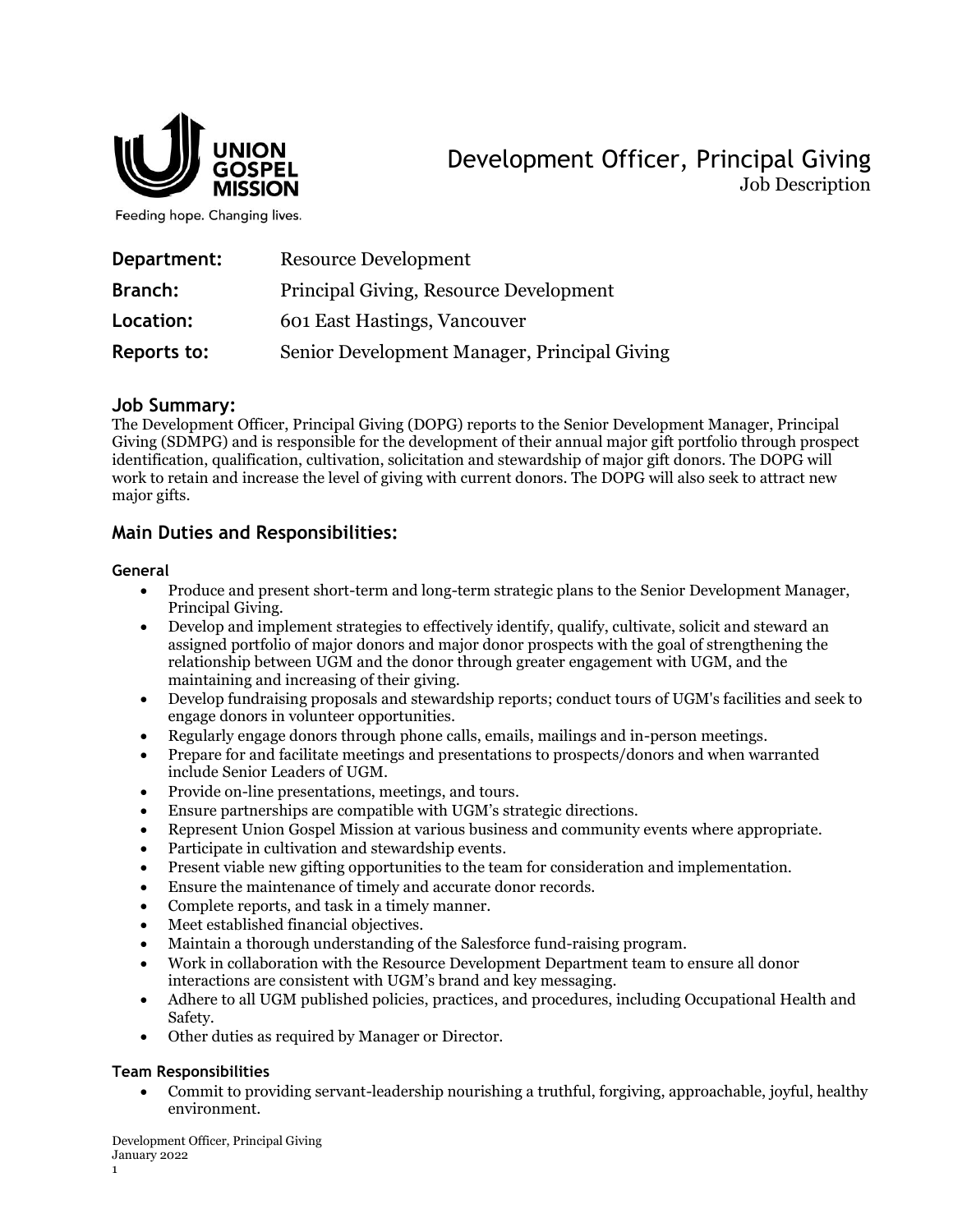

Development Officer, Principal Giving Job Description

Feeding hope. Changing lives.

| Department:    | <b>Resource Development</b>                  |
|----------------|----------------------------------------------|
| <b>Branch:</b> | Principal Giving, Resource Development       |
| Location:      | 601 East Hastings, Vancouver                 |
| Reports to:    | Senior Development Manager, Principal Giving |

### **Job Summary:**

The Development Officer, Principal Giving (DOPG) reports to the Senior Development Manager, Principal Giving (SDMPG) and is responsible for the development of their annual major gift portfolio through prospect identification, qualification, cultivation, solicitation and stewardship of major gift donors. The DOPG will work to retain and increase the level of giving with current donors. The DOPG will also seek to attract new major gifts.

# **Main Duties and Responsibilities:**

#### **General**

- Produce and present short-term and long-term strategic plans to the Senior Development Manager, Principal Giving.
- Develop and implement strategies to effectively identify, qualify, cultivate, solicit and steward an assigned portfolio of major donors and major donor prospects with the goal of strengthening the relationship between UGM and the donor through greater engagement with UGM, and the maintaining and increasing of their giving.
- Develop fundraising proposals and stewardship reports; conduct tours of UGM's facilities and seek to engage donors in volunteer opportunities.
- Regularly engage donors through phone calls, emails, mailings and in-person meetings.
- Prepare for and facilitate meetings and presentations to prospects/donors and when warranted include Senior Leaders of UGM.
- Provide on-line presentations, meetings, and tours.
- Ensure partnerships are compatible with UGM's strategic directions.
- Represent Union Gospel Mission at various business and community events where appropriate.
- Participate in cultivation and stewardship events.
- Present viable new gifting opportunities to the team for consideration and implementation.
- Ensure the maintenance of timely and accurate donor records.
- Complete reports, and task in a timely manner.
- Meet established financial objectives.
- Maintain a thorough understanding of the Salesforce fund-raising program.
- Work in collaboration with the Resource Development Department team to ensure all donor interactions are consistent with UGM's brand and key messaging.
- Adhere to all UGM published policies, practices, and procedures, including Occupational Health and Safety.
- Other duties as required by Manager or Director.

### **Team Responsibilities**

• Commit to providing servant-leadership nourishing a truthful, forgiving, approachable, joyful, healthy environment.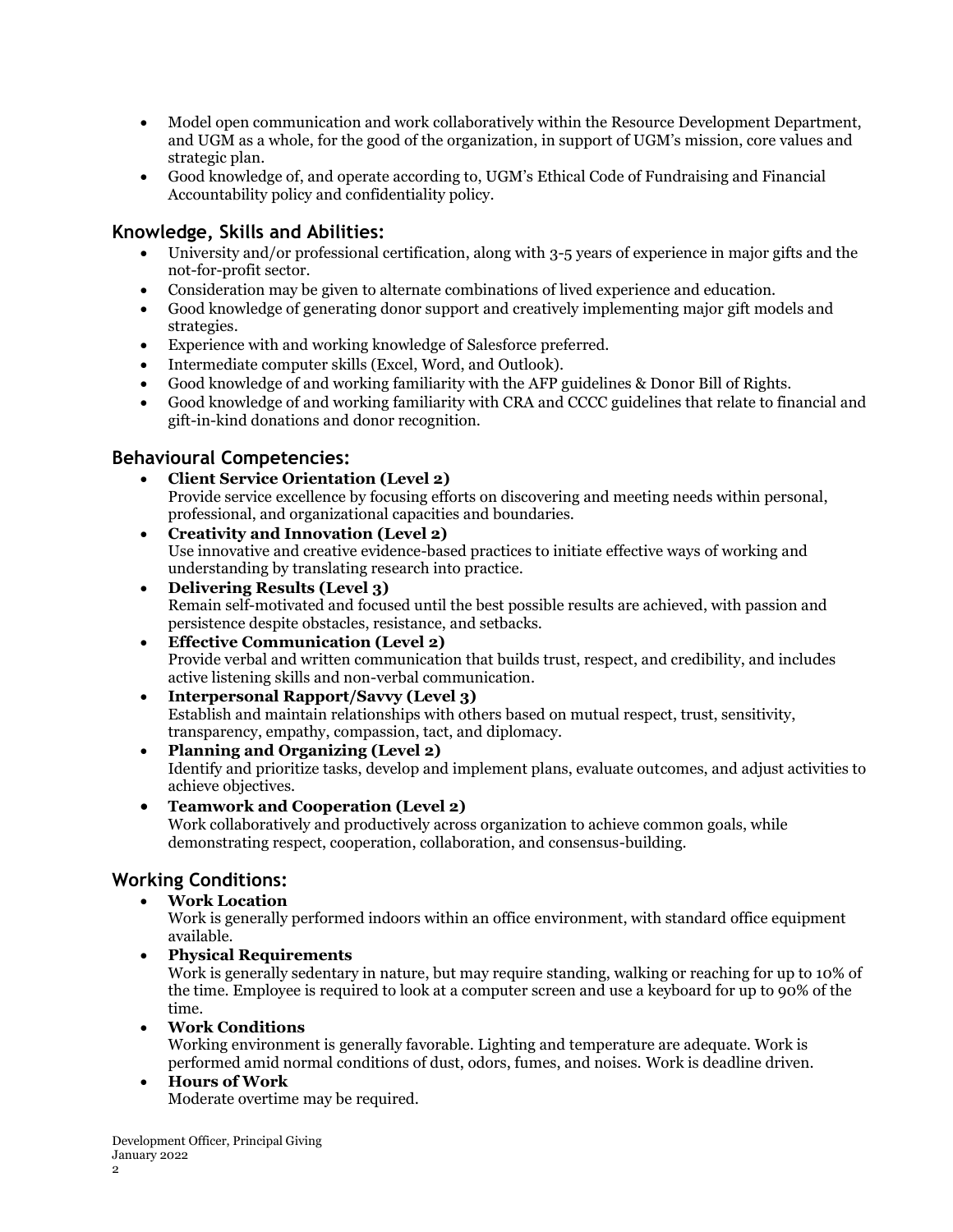- Model open communication and work collaboratively within the Resource Development Department, and UGM as a whole, for the good of the organization, in support of UGM's mission, core values and strategic plan.
- Good knowledge of, and operate according to, UGM's Ethical Code of Fundraising and Financial Accountability policy and confidentiality policy.

## **Knowledge, Skills and Abilities:**

- University and/or professional certification, along with 3-5 years of experience in major gifts and the not-for-profit sector.
- Consideration may be given to alternate combinations of lived experience and education.
- Good knowledge of generating donor support and creatively implementing major gift models and strategies.
- Experience with and working knowledge of Salesforce preferred.
- Intermediate computer skills (Excel, Word, and Outlook).
- Good knowledge of and working familiarity with the AFP guidelines & Donor Bill of Rights.
- Good knowledge of and working familiarity with CRA and CCCC guidelines that relate to financial and gift-in-kind donations and donor recognition.

### **Behavioural Competencies:**

- **Client Service Orientation (Level 2)** Provide service excellence by focusing efforts on discovering and meeting needs within personal, professional, and organizational capacities and boundaries.
- **Creativity and Innovation (Level 2)** Use innovative and creative evidence-based practices to initiate effective ways of working and understanding by translating research into practice.
- **Delivering Results (Level 3)** Remain self-motivated and focused until the best possible results are achieved, with passion and persistence despite obstacles, resistance, and setbacks.
- **Effective Communication (Level 2)** Provide verbal and written communication that builds trust, respect, and credibility, and includes active listening skills and non-verbal communication.
- **Interpersonal Rapport/Savvy (Level 3)** Establish and maintain relationships with others based on mutual respect, trust, sensitivity, transparency, empathy, compassion, tact, and diplomacy.
- **Planning and Organizing (Level 2)** Identify and prioritize tasks, develop and implement plans, evaluate outcomes, and adjust activities to achieve objectives.
- **Teamwork and Cooperation (Level 2)** Work collaboratively and productively across organization to achieve common goals, while demonstrating respect, cooperation, collaboration, and consensus-building.

# **Working Conditions:**

• **Work Location**

Work is generally performed indoors within an office environment, with standard office equipment available.

• **Physical Requirements**

Work is generally sedentary in nature, but may require standing, walking or reaching for up to 10% of the time. Employee is required to look at a computer screen and use a keyboard for up to 90% of the time.

• **Work Conditions**

Working environment is generally favorable. Lighting and temperature are adequate. Work is performed amid normal conditions of dust, odors, fumes, and noises. Work is deadline driven.

• **Hours of Work** Moderate overtime may be required.